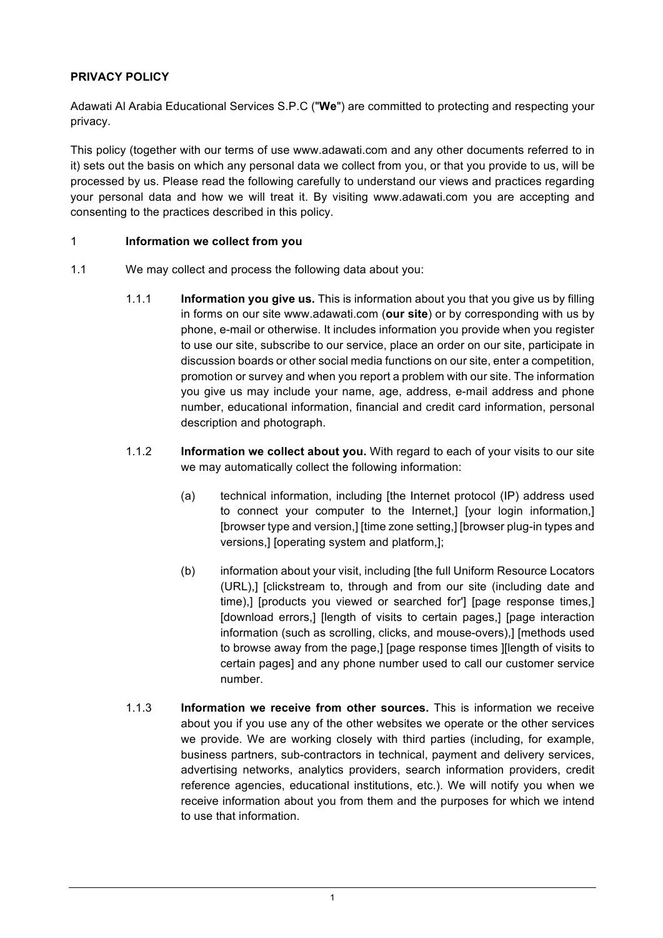# **PRIVACY POLICY**

Adawati Al Arabia Educational Services S.P.C ("**We**") are committed to protecting and respecting your privacy.

This policy (together with our terms of use www.adawati.com and any other documents referred to in it) sets out the basis on which any personal data we collect from you, or that you provide to us, will be processed by us. Please read the following carefully to understand our views and practices regarding your personal data and how we will treat it. By visiting www.adawati.com you are accepting and consenting to the practices described in this policy.

#### 1 **Information we collect from you**

- 1.1 We may collect and process the following data about you:
	- 1.1.1 **Information you give us.** This is information about you that you give us by filling in forms on our site www.adawati.com (**our site**) or by corresponding with us by phone, e-mail or otherwise. It includes information you provide when you register to use our site, subscribe to our service, place an order on our site, participate in discussion boards or other social media functions on our site, enter a competition, promotion or survey and when you report a problem with our site. The information you give us may include your name, age, address, e-mail address and phone number, educational information, financial and credit card information, personal description and photograph.
	- 1.1.2 **Information we collect about you.** With regard to each of your visits to our site we may automatically collect the following information:
		- (a) technical information, including [the Internet protocol (IP) address used to connect your computer to the Internet,] [your login information,] [browser type and version,] [time zone setting,] [browser plug-in types and versions,] [operating system and platform,];
		- (b) information about your visit, including [the full Uniform Resource Locators (URL),] [clickstream to, through and from our site (including date and time),] [products you viewed or searched for'] [page response times,] [download errors,] [length of visits to certain pages,] [page interaction information (such as scrolling, clicks, and mouse-overs),] [methods used to browse away from the page,] [page response times ][length of visits to certain pages] and any phone number used to call our customer service number.
	- 1.1.3 **Information we receive from other sources.** This is information we receive about you if you use any of the other websites we operate or the other services we provide. We are working closely with third parties (including, for example, business partners, sub-contractors in technical, payment and delivery services, advertising networks, analytics providers, search information providers, credit reference agencies, educational institutions, etc.). We will notify you when we receive information about you from them and the purposes for which we intend to use that information.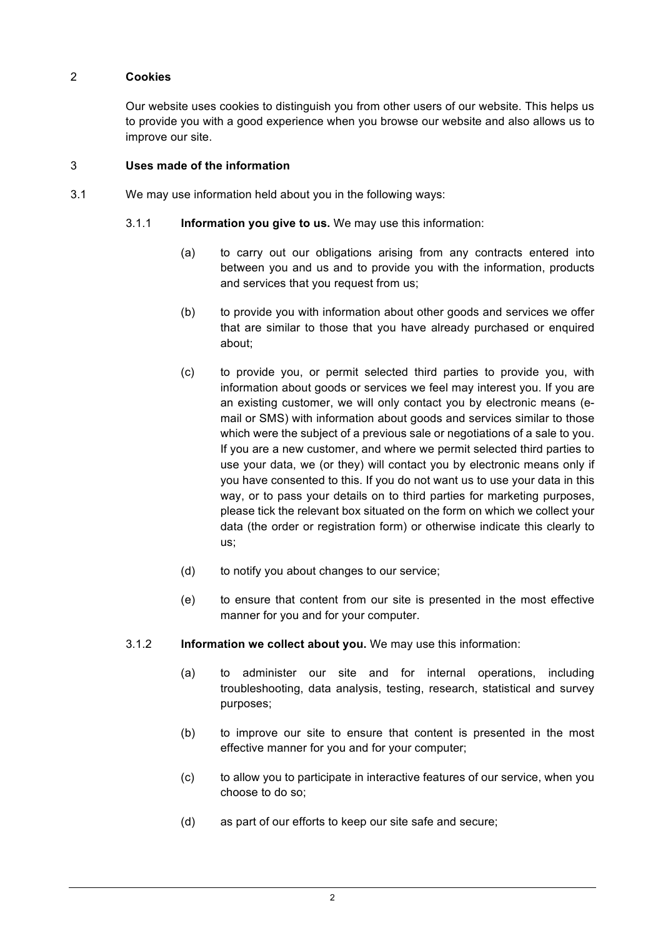### 2 **Cookies**

Our website uses cookies to distinguish you from other users of our website. This helps us to provide you with a good experience when you browse our website and also allows us to improve our site.

#### 3 **Uses made of the information**

- 3.1 We may use information held about you in the following ways:
	- 3.1.1 **Information you give to us.** We may use this information:
		- (a) to carry out our obligations arising from any contracts entered into between you and us and to provide you with the information, products and services that you request from us;
		- (b) to provide you with information about other goods and services we offer that are similar to those that you have already purchased or enquired about;
		- (c) to provide you, or permit selected third parties to provide you, with information about goods or services we feel may interest you. If you are an existing customer, we will only contact you by electronic means (email or SMS) with information about goods and services similar to those which were the subject of a previous sale or negotiations of a sale to you. If you are a new customer, and where we permit selected third parties to use your data, we (or they) will contact you by electronic means only if you have consented to this. If you do not want us to use your data in this way, or to pass your details on to third parties for marketing purposes, please tick the relevant box situated on the form on which we collect your data (the order or registration form) or otherwise indicate this clearly to us;
		- (d) to notify you about changes to our service;
		- (e) to ensure that content from our site is presented in the most effective manner for you and for your computer.
	- 3.1.2 **Information we collect about you.** We may use this information:
		- (a) to administer our site and for internal operations, including troubleshooting, data analysis, testing, research, statistical and survey purposes;
		- (b) to improve our site to ensure that content is presented in the most effective manner for you and for your computer;
		- (c) to allow you to participate in interactive features of our service, when you choose to do so;
		- (d) as part of our efforts to keep our site safe and secure;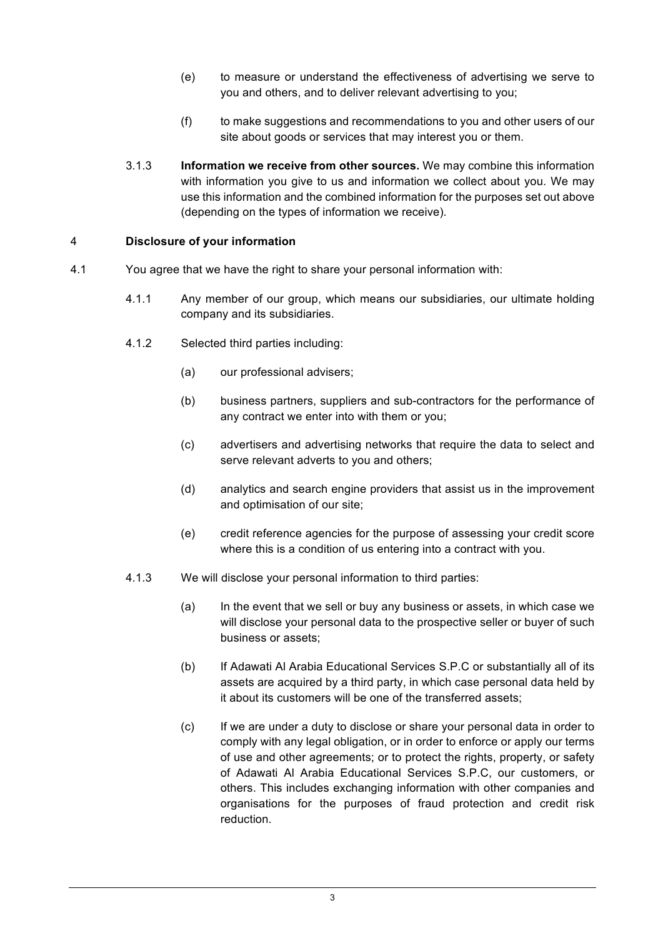- (e) to measure or understand the effectiveness of advertising we serve to you and others, and to deliver relevant advertising to you;
- (f) to make suggestions and recommendations to you and other users of our site about goods or services that may interest you or them.
- 3.1.3 **Information we receive from other sources.** We may combine this information with information you give to us and information we collect about you. We may use this information and the combined information for the purposes set out above (depending on the types of information we receive).

### 4 **Disclosure of your information**

- 4.1 You agree that we have the right to share your personal information with:
	- 4.1.1 Any member of our group, which means our subsidiaries, our ultimate holding company and its subsidiaries.
	- 4.1.2 Selected third parties including:
		- (a) our professional advisers;
		- (b) business partners, suppliers and sub-contractors for the performance of any contract we enter into with them or you;
		- (c) advertisers and advertising networks that require the data to select and serve relevant adverts to you and others;
		- (d) analytics and search engine providers that assist us in the improvement and optimisation of our site;
		- (e) credit reference agencies for the purpose of assessing your credit score where this is a condition of us entering into a contract with you.
	- 4.1.3 We will disclose your personal information to third parties:
		- (a) In the event that we sell or buy any business or assets, in which case we will disclose your personal data to the prospective seller or buyer of such business or assets;
		- (b) If Adawati Al Arabia Educational Services S.P.C or substantially all of its assets are acquired by a third party, in which case personal data held by it about its customers will be one of the transferred assets;
		- (c) If we are under a duty to disclose or share your personal data in order to comply with any legal obligation, or in order to enforce or apply our terms of use and other agreements; or to protect the rights, property, or safety of Adawati Al Arabia Educational Services S.P.C, our customers, or others. This includes exchanging information with other companies and organisations for the purposes of fraud protection and credit risk reduction.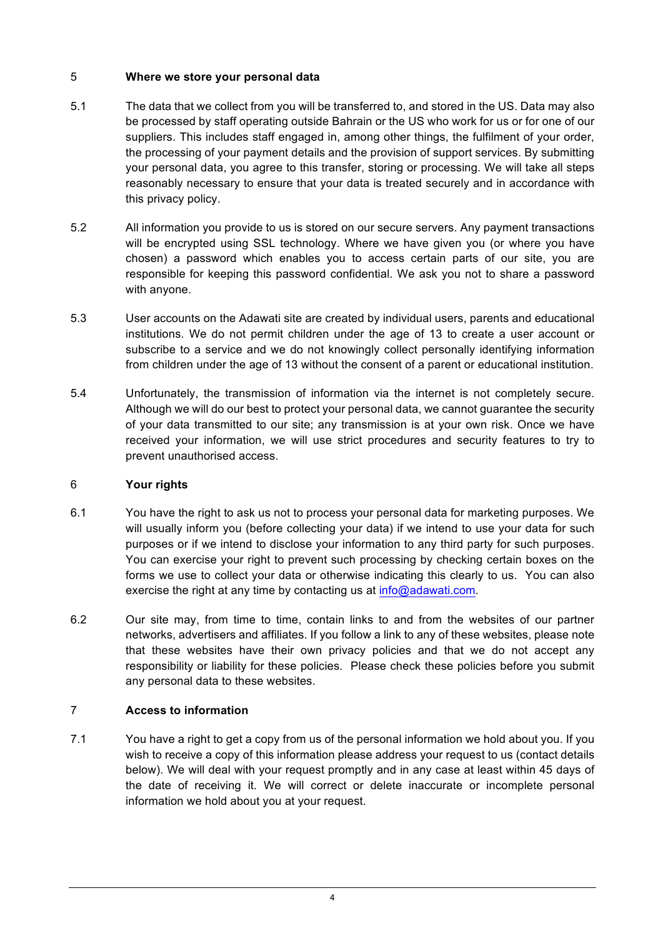## 5 **Where we store your personal data**

- 5.1 The data that we collect from you will be transferred to, and stored in the US. Data may also be processed by staff operating outside Bahrain or the US who work for us or for one of our suppliers. This includes staff engaged in, among other things, the fulfilment of your order, the processing of your payment details and the provision of support services. By submitting your personal data, you agree to this transfer, storing or processing. We will take all steps reasonably necessary to ensure that your data is treated securely and in accordance with this privacy policy.
- 5.2 All information you provide to us is stored on our secure servers. Any payment transactions will be encrypted using SSL technology. Where we have given you (or where you have chosen) a password which enables you to access certain parts of our site, you are responsible for keeping this password confidential. We ask you not to share a password with anyone.
- 5.3 User accounts on the Adawati site are created by individual users, parents and educational institutions. We do not permit children under the age of 13 to create a user account or subscribe to a service and we do not knowingly collect personally identifying information from children under the age of 13 without the consent of a parent or educational institution.
- 5.4 Unfortunately, the transmission of information via the internet is not completely secure. Although we will do our best to protect your personal data, we cannot guarantee the security of your data transmitted to our site; any transmission is at your own risk. Once we have received your information, we will use strict procedures and security features to try to prevent unauthorised access.

#### 6 **Your rights**

- 6.1 You have the right to ask us not to process your personal data for marketing purposes. We will usually inform you (before collecting your data) if we intend to use your data for such purposes or if we intend to disclose your information to any third party for such purposes. You can exercise your right to prevent such processing by checking certain boxes on the forms we use to collect your data or otherwise indicating this clearly to us. You can also exercise the right at any time by contacting us at info@adawati.com.
- 6.2 Our site may, from time to time, contain links to and from the websites of our partner networks, advertisers and affiliates. If you follow a link to any of these websites, please note that these websites have their own privacy policies and that we do not accept any responsibility or liability for these policies. Please check these policies before you submit any personal data to these websites.

#### 7 **Access to information**

7.1 You have a right to get a copy from us of the personal information we hold about you. If you wish to receive a copy of this information please address your request to us (contact details below). We will deal with your request promptly and in any case at least within 45 days of the date of receiving it. We will correct or delete inaccurate or incomplete personal information we hold about you at your request.